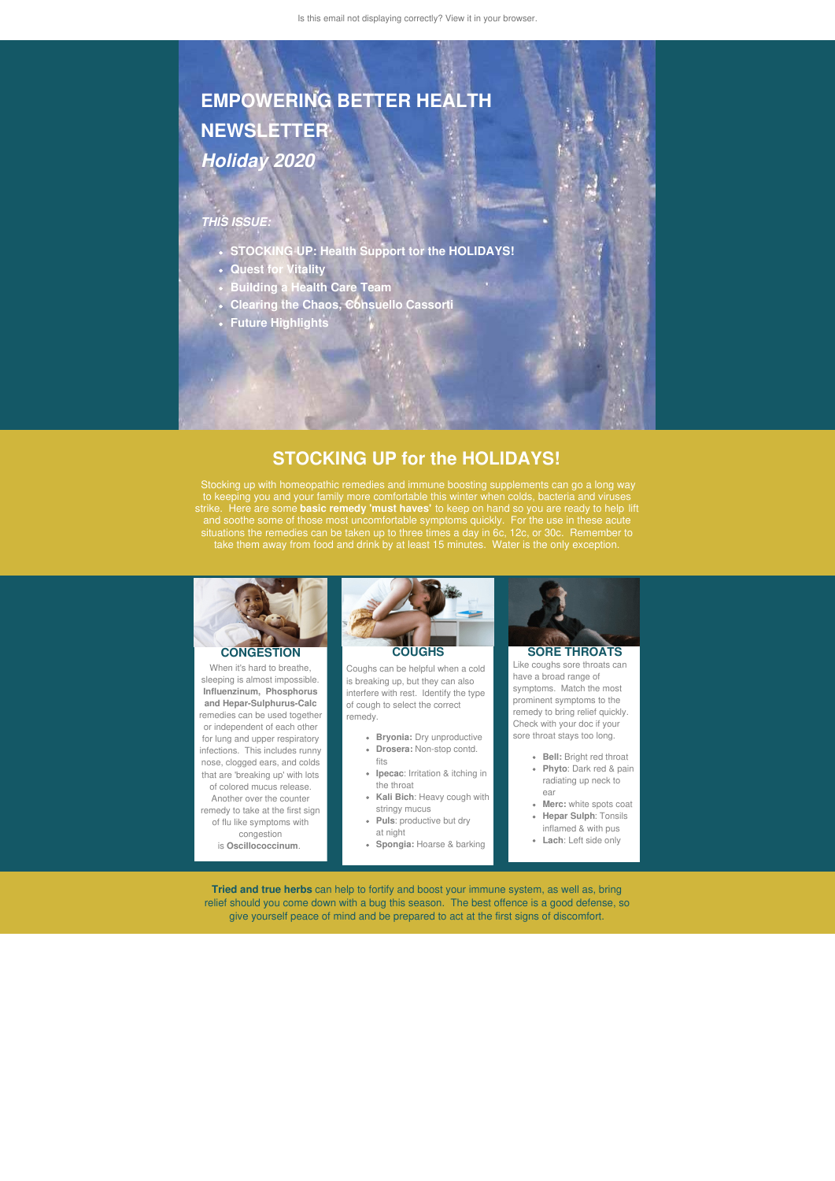# **EMPOWERING BETTER HEALTH NEWSLETTER** *Holiday 2020*

## *THIS ISSUE:*

- **STOCKING UP: Health Support tor the HOLIDAYS!**
- **Quest for Vitality**
- **Building a Health Care Team**
- **Clearing the Chaos, Consuello Cassorti**
- **Future Highlights**

## **STOCKING UP for the HOLIDAYS!**

Stocking up with homeopathic remedies and immune boosting supplements can go a long way to keeping you and your family more comfortable this winter when colds, bacteria and viruses strike. Here are some **basic remedy 'must haves'** to keep on hand so you are ready to help lift and soothe some of those most uncomfortable symptoms quickly. For the use in these acute situations the remedies can be taken up to three times a day in 6c, 12c, or 30c. Remember to take them away from food and drink by at least 15 minutes. Water is the only exception.



### **CONGESTION**

When it's hard to breathe, sleeping is almost impossible. **Influenzinum, Phosphorus and Hepar-Sulphurus-Calc** remedies can be used together or independent of each other for lung and upper respiratory infections. This includes runny nose, clogged ears, and colds that are 'breaking up' with lots of colored mucus release. Another over the counter remedy to take at the first sign

of flu like symptoms with congestion

is **Oscillococcinum**.



Coughs can be helpful when a cold is breaking up, but they can also interfere with rest. Identify the type of cough to select the correct remedy.

- **Bryonia:** Dry unproductive
- **Drosera:** Non-stop contd. fits
- **Ipecac**: Irritation & itching in the throat
- **Kali Bich**: Heavy cough with stringy mucus
- **Puls**: productive but dry at night
- **Spongia:** Hoarse & barking



Like coughs sore throats can have a broad range of symptoms. Match the most prominent symptoms to the remedy to bring relief quickly. Check with your doc if your sore throat stays too long.

- **Bell:** Bright red throat
- **Phyto**: Dark red & pain radiating up neck to ear
- **Merc:** white spots coat
- **Hepar Sulph**: Tonsils inflamed & with pus
- **Lach**: Left side only

relief should you come down with a bug this season. The best offence is a good defense, so give yourself peace of mind and be prepared to act at the first signs of discomfort.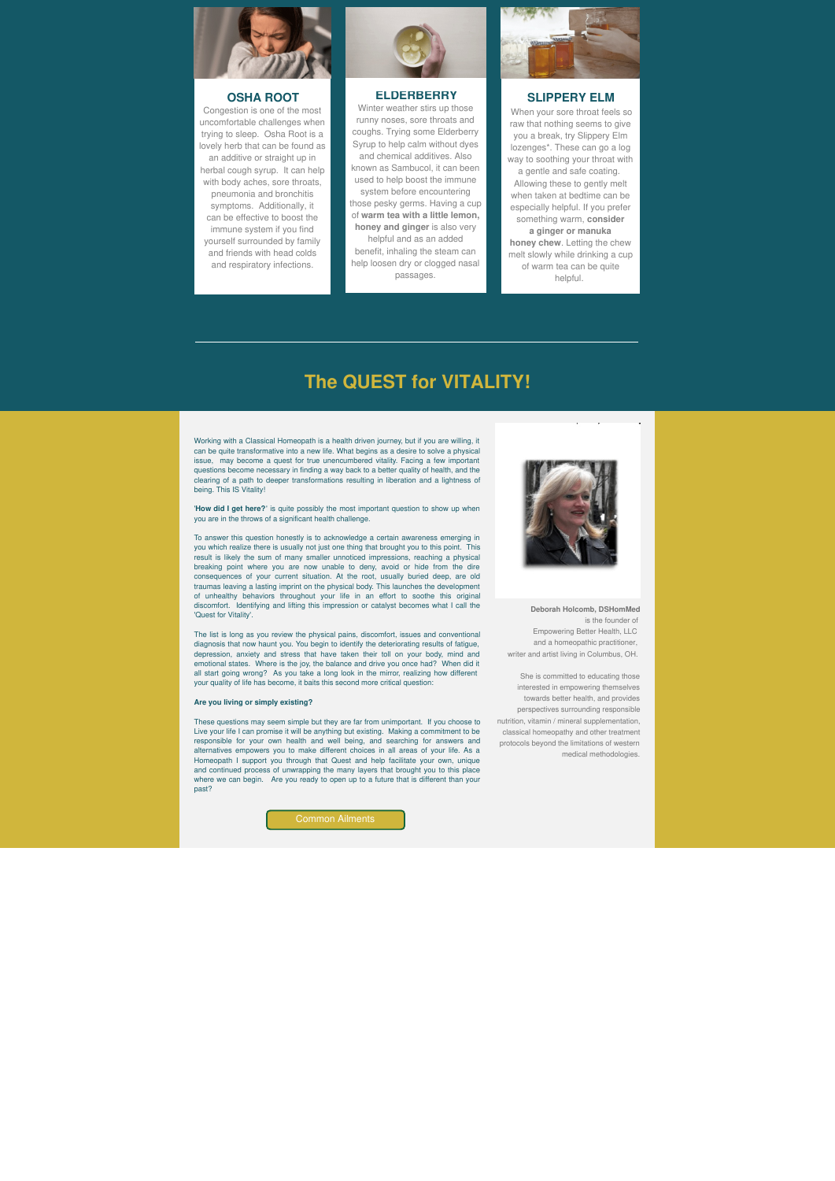

### **OSHA ROOT**

Congestion is one of the most uncomfortable challenges when trying to sleep. Osha Root is a lovely herb that can be found as

an additive or straight up in herbal cough syrup. It can help with body aches, sore throats, pneumonia and bronchitis symptoms. Additionally, it can be effective to boost the immune system if you find yourself surrounded by family and friends with head colds and respiratory infections.



### **ELDERBERRY**

Winter weather stirs up those runny noses, sore throats and coughs. Trying some Elderberry Syrup to help calm without dyes and chemical additives. Also known as Sambucol, it can been used to help boost the immune system before encountering those pesky germs. Having a cup of **warm tea with a little lemon, honey and ginger** is also very helpful and as an added benefit, inhaling the steam can help loosen dry or clogged nasal

passages.



### **SLIPPERY ELM**

When your sore throat feels so raw that nothing seems to give you a break, try Slippery Elm lozenges\*. These can go a log way to soothing your throat with a gentle and safe coating. Allowing these to gently melt when taken at bedtime can be especially helpful. If you prefer something warm, **consider a ginger or manuka honey chew**. Letting the chew melt slowly while drinking a cup of warm tea can be quite helpful.

## **The QUEST for VITALITY!**

Working with a Classical Homeopath is a health driven journey, but if you are willing, it can be quite transformative into a new life. What begins as a desire to solve a physical issue, may become a quest for true unencumbered vitality. Facing a few important questions become necessary in finding a way back to a better quality of health, and the clearing of a path to deeper transformations resulting in liberation and a lightness of being. This IS Vitality!

'**How did I get here?**' is quite possibly the most important question to show up when you are in the throws of a significant health challenge.

To answer this question honestly is to acknowledge a certain awareness emerging in you which realize there is usually not just one thing that brought you to this point. This result is likely the sum of many smaller unnoticed impressions, reaching a physical breaking point where you are now unable to deny, avoid or hide from the dire consequences of your current situation. At the root, usually buried deep, are old traumas leaving a lasting imprint on the physical body. This launches the development of unhealthy behaviors throughout your life in an effort to soothe this original discomfort. Identifying and lifting this impression or catalyst becomes what I call the 'Quest for Vitality'.

The list is long as you review the physical pains, discomfort, issues and conventional diagnosis that now haunt you. You begin to identify the deteriorating results of fatigue, depression, anxiety and stress that have taken their toll on your body, mind and emotional states. Where is the joy, the balance and drive you once had? When did it all start going wrong? As you take a long look in the mirror, realizing how different your quality of life has become, it baits this second more critical question:

#### **Are you living or simply existing?**

These questions may seem simple but they are far from unimportant. If you choose to Live your life I can promise it will be anything but existing. Making a commitment to be responsible for your own health and well being, and searching for answers and alternatives empowers you to make different choices in all areas of your life. As a Homeopath I support you through that Quest and help facilitate your own, unique and continued process of unwrapping the many layers that brought you to this place where we can begin. Are you ready to open up to a future that is different than your past?





**Deborah Holcomb, DSHomMed** is the founder of Empowering Better Health, LLC and a homeopathic practitioner, writer and artist living in Columbus, OH.

She is committed to educating those interested in empowering themselves towards better health, and provides perspectives surrounding responsible nutrition, vitamin / mineral supplementation, classical homeopathy and other treatment protocols beyond the limitations of western medical methodologies.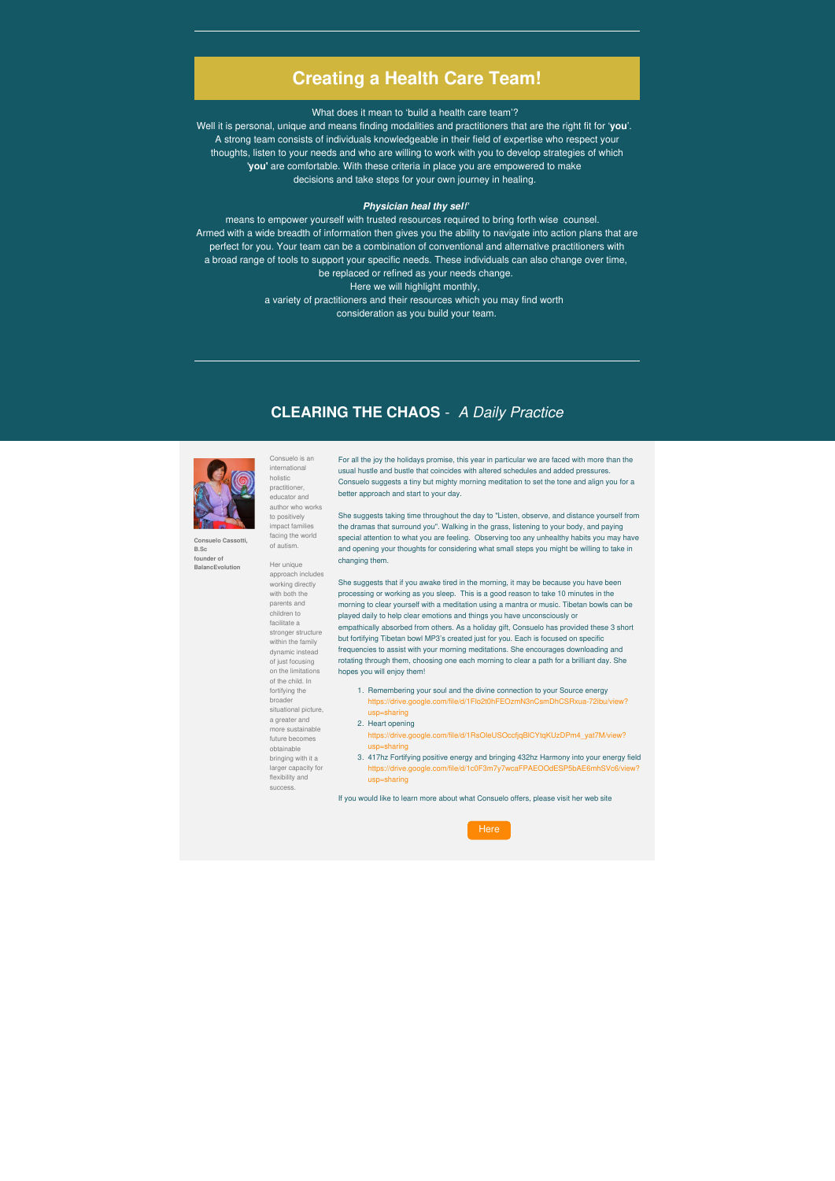## **Creating a Health Care Team!**

What does it mean to 'build a health care team'?

Well it is personal, unique and means finding modalities and practitioners that are the right fit for '**you**'. A strong team consists of individuals knowledgeable in their field of expertise who respect your thoughts, listen to your needs and who are willing to work with you to develop strategies of which '**you'** are comfortable. With these criteria in place you are empowered to make decisions and take steps for your own journey in healing.

### *Physician heal thy self'*

means to empower yourself with trusted resources required to bring forth wise counsel. Armed with a wide breadth of information then gives you the ability to navigate into action plans that are perfect for you. Your team can be a combination of conventional and alternative practitioners with a broad range of tools to support your specific needs. These individuals can also change over time, be replaced or refined as your needs change. Here we will highlight monthly, a variety of practitioners and their resources which you may find worth consideration as you build your team.

> She suggests taking time throughout the day to "Listen, observe, and distance yourself from the dramas that surround you". Walking in the grass, listening to your body, and paying special attention to what you are feeling. Observing too any unhealthy habits you may have and opening your thoughts for considering what small steps you might be willing to take in changing them.

## **CLEARING THE CHAOS** - *A Daily Practice*



**B.Sc founder of BalancEvolution** Consuelo is an international

**Consuelo Cassotti,** holistic practitioner, educator and author who works to positively impact families facing the world of autism.

> Her unique approach includes working directly with both the parents and children to facilitate a stronger structure within the family dynamic instead of just focusing on the limitations of the child. In fortifying the broader situational picture, a greater and more sustainable future becomes obtainable bringing with it a larger capacity for flexibility and success.

For all the joy the holidays promise, this year in particular we are faced with more than the usual hustle and bustle that coincides with altered schedules and added pressures. Consuelo suggests a tiny but mighty morning meditation to set the tone and align you for a better approach and start to your day.

She suggests that if you awake tired in the morning, it may be because you have been processing or working as you sleep. This is a good reason to take 10 minutes in the morning to clear yourself with a meditation using a mantra or music. Tibetan bowls can be played daily to help clear emotions and things you have unconsciously or empathically absorbed from others. As a holiday gift, Consuelo has provided these 3 short but fortifying Tibetan bowl MP3's created just for you. Each is focused on specific frequencies to assist with your morning meditations. She encourages downloading and rotating through them, choosing one each morning to clear a path for a brilliant day. She hopes you will enjoy them!

- 1. Remembering your soul and the divine connection to your Source energy https://drive.google.com/file/d/1Flo2t0hFEOzmN3nCsmDhCSRxua-72ibu/view? usp=sharing
- 2. Heart opening
	- https://drive.google.com/file/d/1RsOIeUSOccfjqBlCYtqKUzDPm4\_yat7M/view? usp=sharing
- 3. 417hz Fortifying positive energy and bringing 432hz Harmony into your energy field https://drive.google.com/file/d/1c0F3m7y7wcaFPAEOOdESP5bAE6mhSVc6/view? usp=sharing

If you would like to learn more about what Consuelo offers, please visit her web site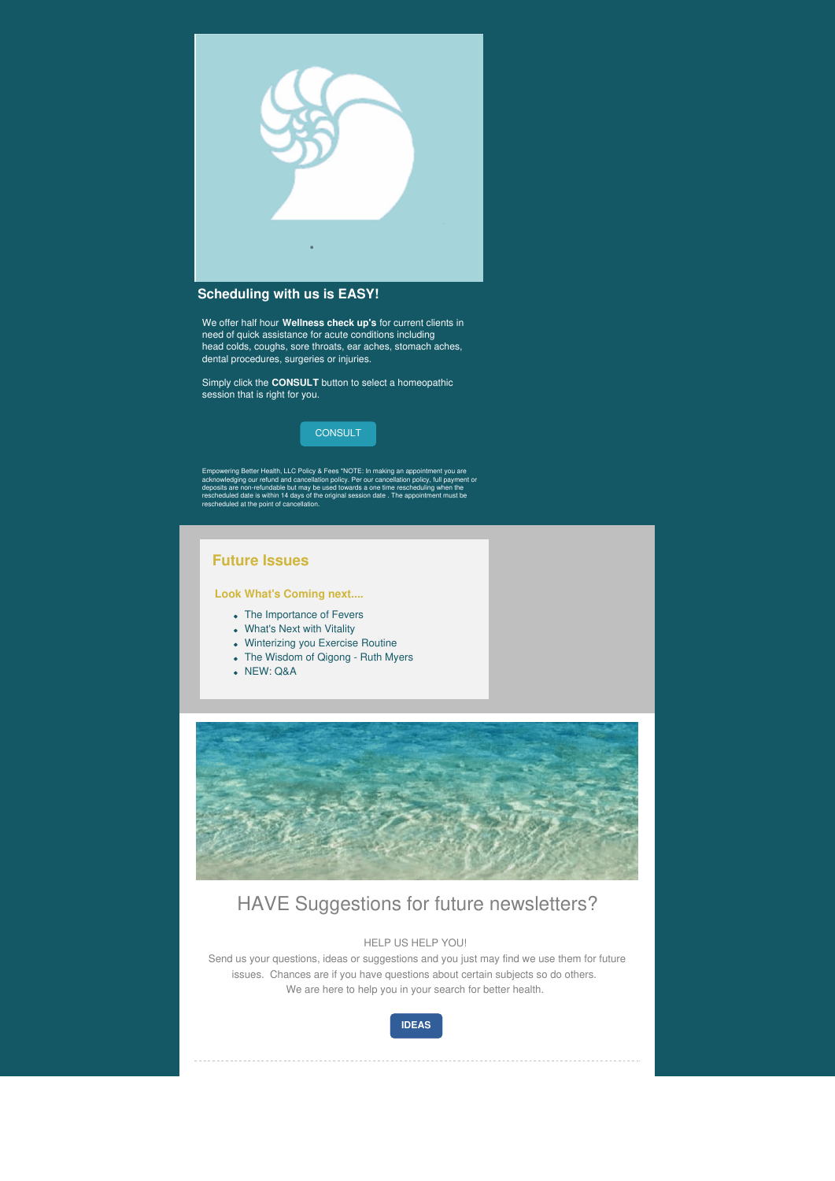

## **Scheduling with us is EASY!**

Simply click the **CONSULT** button to select a homeopathic session that is right for you.

We offer half hour **Wellness check up's** for current clients in need of quick assistance for acute conditions including head colds, coughs, sore throats, ear aches, stomach aches, dental procedures, surgeries or injuries.



- The Importance of Fevers
- What's Next with Vitality
- Winterizing you Exercise Routine
- The Wisdom of Qigong Ruth Myers
- NEW: Q&A



Empowering Better Health, LLC Policy & Fees \*NOTE: In making an appointment you are acknowledging our refund and cancellation policy. Per our cancellation policy, full payment or deposits are non-refundable but may be used towards a one time rescheduling when the rescheduled date is within 14 days of the original session date . The appointment must be rescheduled at the point of cancellation.

## **Future Issues**

### **Look What's Coming next....**

## HAVE Suggestions for future newsletters?

HELP US HELP YOU!

Send us your questions, ideas or suggestions and you just may find we use them for future issues. Chances are if you have questions about certain subjects so do others. We are here to help you in your search for better health.